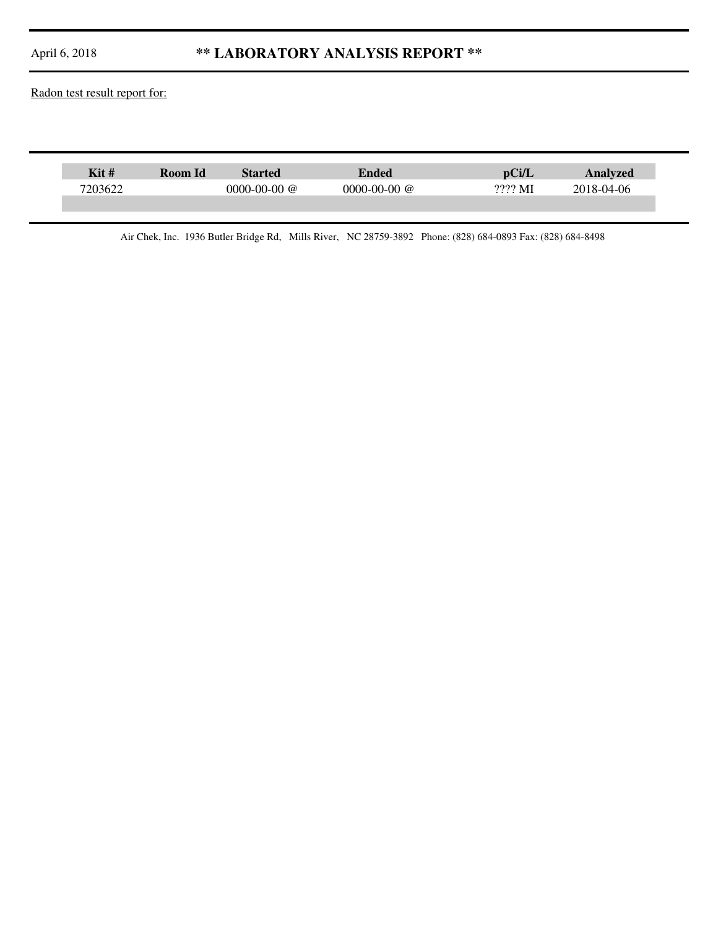## April 6, 2018 **\*\* LABORATORY ANALYSIS REPORT \*\***

Radon test result report for:

| Kit#    | Room Id | <b>Started</b>     | Ended          |         | Analvzed   |
|---------|---------|--------------------|----------------|---------|------------|
| 7203622 |         | $0000 - 00 - 00$ @ | $0000-00-00$ @ | ???? MI | 2018-04-06 |
|         |         |                    |                |         |            |

Air Chek, Inc. 1936 Butler Bridge Rd, Mills River, NC 28759-3892 Phone: (828) 684-0893 Fax: (828) 684-8498